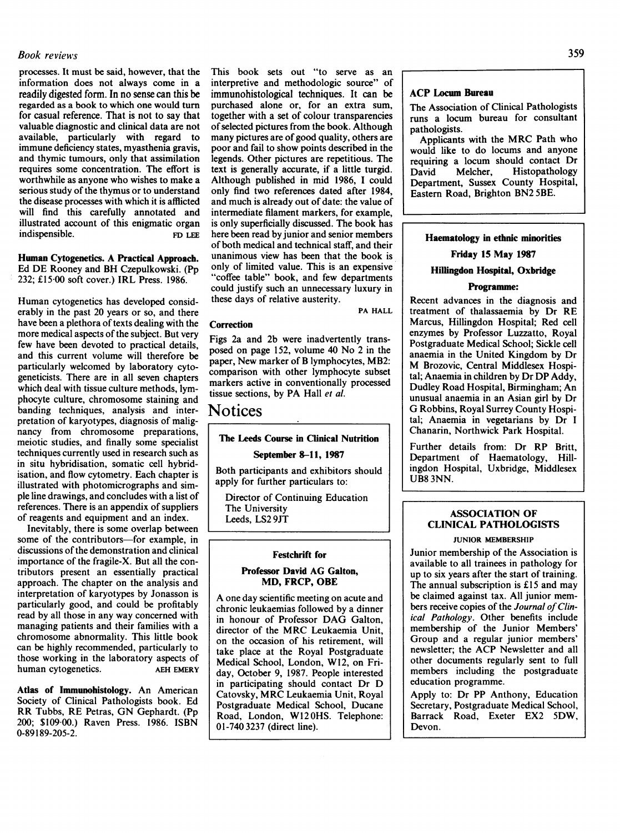## $\mathcal{L}$  book reviews  $\mathcal{L}$

processes. It must be said, however, that the information does not always come in a readily digested form. In no sense can this be regarded as a book to which one would turn for casual reference. That is not to say that valuable diagnostic and clinical data are not available, particularly with regard to immune deficiency states, myasthenia gravis, and thymic tumours, only that assimilation requires some concentration. The effort is worthwhile as anyone who wishes to make a serious study of the thymus or to understand the disease processes with which it is afflicted will find this carefully annotated and illustrated account of this enigmatic organ indispensible. FD LEE

Human Cytogenetics. A Practical Approach. Ed DE Rooney and BH Czepulkowski. (Pp 232; £15-00 soft cover.) IRL Press. 1986.

Human cytogenetics has developed considerably in the past 20 years or so, and there have been a plethora of texts dealing with the more medical aspects of the subject. But very few have been devoted to practical details, and this current volume will therefore be particularly welcomed by laboratory cytogeneticists. There are in all seven chapters which deal with tissue culture methods, lymphocyte culture, chromosome staining and banding techniques, analysis and interpretation of karyotypes, diagnosis of malignancy from chromosome preparations, meiotic studies, and finally some specialist techniques currently used in research such as in situ hybridisation, somatic cell hybridisation, and flow cytometry. Each chapter is illustrated with photomicrographs and simple line drawings, and concludes with a list of references. There is an appendix of suppliers of reagents and equipment and an index.

Inevitably, there is some overlap between some of the contributors-for example, in discussions of the demonstration and clinical importance of the fragile-X. But all the contributors present an essentially practical approach. The chapter on the analysis and interpretation of karyotypes by Jonasson is particularly good, and could be profitably read by all those in any way concerned with managing patients and their families with a chromosome abnormality. This little book can be highly recommended, particularly to those working in the laboratory aspects of human cytogenetics. AEH EMERY

Atlas of Immunohistology. An American Society of Clinical Pathologists book. Ed RR Tubbs, RE Petras, GN Gephardt. (Pp 200; \$109-00.) Raven Press. 1986. ISBN 0-89189-205-2.

This book sets out "to serve as an interpretive and methodologic source" of immunohistological techniques. It can be purchased alone or, for an extra sum, together with a set of colour transparencies of selected pictures from the book. Although many pictures are of good quality, others are poor and fail to show points described in the legends. Other pictures are repetitious. The text is generally accurate, if a little turgid. Although published in mid 1986, <sup>I</sup> could only find two references dated after 1984, and much is already out of date: the value of intermediate filament markers, for example, is only superficially discussed. The book has here been read by junior and senior members of both medical and technical staff, and their unanimous view has been that the book is only of limited value. This is an expensive "coffee table" book, and few departments could justify such an unnecessary luxury in these days of relative austerity.

PA HALL

#### **Correction**

Figs 2a and 2b were inadvertently transposed on page 152, volume 40 No <sup>2</sup> in the paper, New marker of B lymphocytes, MB2: comparison with other lymphocyte subset markers active in conventionally processed tissue sections, by PA Hall et al.

## Notices

## The Leeds Course in Clinical Nutrition

September 8-11, 1987

Both participants and exhibitors should apply for further particulars to:

Director of Continuing Education The University Leeds, LS2 9JT

#### Festchrift for

#### Professor David AG Galton, MD, FRCP, OBE

A one day scientific meeting on acute and chronic leukaemias followed by a dinner in honour of Professor DAG Galton, director of the MRC Leukaemia Unit, on the occasion of his retirement, will take place at the Royal Postgraduate Medical School, London, W12, on Friday, October 9, 1987. People interested in participating should contact Dr D Catovsky, MRC Leukaemia Unit, Royal Postgraduate Medical School, Ducane Road, London, W120HS. Telephone: 01-740 3237 (direct line).

### ACP Locum Bureau

The Association of Clinical Pathologists runs a locum bureau for consultant pathologists.

Applicants with the MRC Path who would like to do locums and anyone requiring a locum should contact Dr David Melcher, Histopathology Department, Sussex County Hospital, Eastern Road, Brighton BN2 5BE.

#### Haematology in ethnic minorities

## Friday 15 May 1987

## Hillingdon Hospital, Oxbridge

### Programme:

Recent advances in the diagnosis and treatment of thalassaemia by Dr RE Marcus, Hillingdon Hospital; Red cell enzymes by Professor Luzzatto, Royal Postgraduate Medical School; Sickle cell anaemia in the United Kingdom by Dr M Brozovic, Central Middlesex Hospital; Anaemia in children by Dr DP Addy, Dudley Road Hospital, Birmingham; An unusual anaemia in an Asian girl by Dr G Robbins, Royal Surrey County Hospital; Anaemia in vegetarians by Dr <sup>I</sup> Chanarin, Northwick Park Hospital.

Further details from: Dr RP Britt, Department of Haematology, Hillingdon Hospital, Uxbridge, Middlesex UB8 3NN.

## ASSOCIATION OF CLINICAL PATHOLOGISTS

#### JUNIOR MEMBERSHIP

Junior membership of the Association is available to all trainees in pathology for up to six years after the start of training. The annual subscription is £15 and may be claimed against tax. All junior members receive copies of the Journal of Clinical Pathology. Other benefits include membership of the Junior Members' Group and a regular junior members' newsletter; the ACP Newsletter and all other documents regularly sent to full members including the postgraduate education programme.

Apply to: Dr PP Anthony, Education Secretary, Postgraduate Medical School, Barrack Road, Exeter EX2 5DW, Devon.